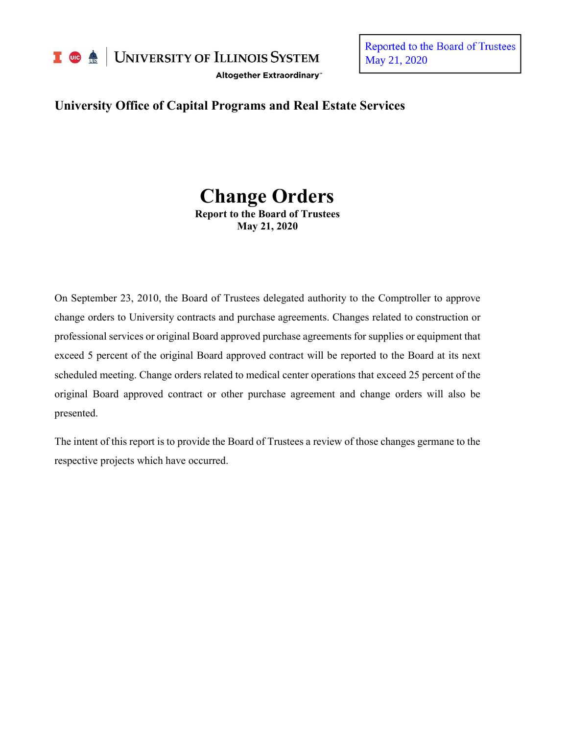

I **C**  $\triangle$  UNIVERSITY OF ILLINOIS SYSTEM

Altogether Extraordinary"

Reported to the Board of Trustees May 21, 2020

# **University Office of Capital Programs and Real Estate Services**

# **Change Orders Report to the Board of Trustees**

**May 21, 2020**

On September 23, 2010, the Board of Trustees delegated authority to the Comptroller to approve change orders to University contracts and purchase agreements. Changes related to construction or professional services or original Board approved purchase agreements for supplies or equipment that exceed 5 percent of the original Board approved contract will be reported to the Board at its next scheduled meeting. Change orders related to medical center operations that exceed 25 percent of the original Board approved contract or other purchase agreement and change orders will also be presented.

The intent of this report is to provide the Board of Trustees a review of those changes germane to the respective projects which have occurred.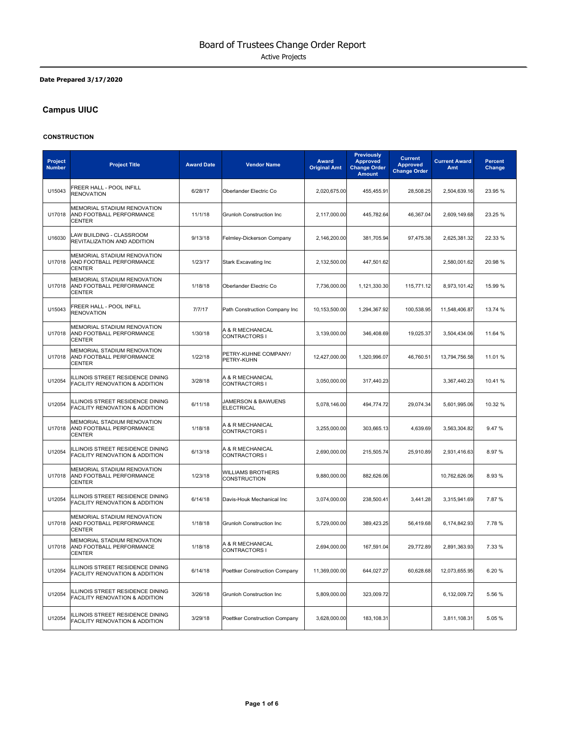#### **Date Prepared 3/17/2020**

# **Campus UIUC**

#### **CONSTRUCTION**

| <b>Project</b><br><b>Number</b> | <b>Project Title</b>                                                            | <b>Award Date</b> | <b>Vendor Name</b>                       | Award<br><b>Original Amt</b> | <b>Previously</b><br><b>Approved</b><br><b>Change Order</b><br><b>Amount</b> | <b>Current</b><br><b>Approved</b><br><b>Change Order</b> | <b>Current Award</b><br>Amt | <b>Percent</b><br>Change |
|---------------------------------|---------------------------------------------------------------------------------|-------------------|------------------------------------------|------------------------------|------------------------------------------------------------------------------|----------------------------------------------------------|-----------------------------|--------------------------|
| U15043                          | FREER HALL - POOL INFILL<br><b>RENOVATION</b>                                   | 6/28/17           | Oberlander Electric Co                   | 2,020,675.00                 | 455,455.91                                                                   | 28,508.25                                                | 2,504,639.16                | 23.95 %                  |
| U17018                          | MEMORIAL STADIUM RENOVATION<br>AND FOOTBALL PERFORMANCE<br><b>CENTER</b>        | 11/1/18           | <b>Grunloh Construction Inc</b>          | 2,117,000.00                 | 445,782.64                                                                   | 46,367.04                                                | 2,609,149.68                | 23.25 %                  |
| U16030                          | LAW BUILDING - CLASSROOM<br>REVITALIZATION AND ADDITION                         | 9/13/18           | Felmley-Dickerson Company                | 2,146,200.00                 | 381,705.94                                                                   | 97,475.38                                                | 2,625,381.32                | 22.33 %                  |
| U17018                          | MEMORIAL STADIUM RENOVATION<br>AND FOOTBALL PERFORMANCE<br><b>CENTER</b>        | 1/23/17           | <b>Stark Excavating Inc</b>              | 2,132,500.00                 | 447,501.62                                                                   |                                                          | 2,580,001.62                | 20.98 %                  |
| U17018                          | MEMORIAL STADIUM RENOVATION<br>AND FOOTBALL PERFORMANCE<br><b>CENTER</b>        | 1/18/18           | Oberlander Electric Co                   | 7,736,000.00                 | 1,121,330.30                                                                 | 115,771.12                                               | 8,973,101.42                | 15.99 %                  |
| U15043                          | FREER HALL - POOL INFILL<br>RENOVATION                                          | 7/7/17            | Path Construction Company Inc            | 10,153,500.00                | 1,294,367.92                                                                 | 100,538.95                                               | 11,548,406.87               | 13.74 %                  |
| U17018                          | MEMORIAL STADIUM RENOVATION<br>AND FOOTBALL PERFORMANCE<br><b>CENTER</b>        | 1/30/18           | A & R MECHANICAL<br>CONTRACTORS I        | 3,139,000.00                 | 346,408.69                                                                   | 19,025.37                                                | 3,504,434.06                | 11.64 %                  |
| U17018                          | <b>MEMORIAL STADIUM RENOVATION</b><br>AND FOOTBALL PERFORMANCE<br><b>CENTER</b> | 1/22/18           | PETRY-KUHNE COMPANY/<br>PETRY-KUHN       | 12,427,000.00                | 1,320,996.07                                                                 | 46,760.51                                                | 13,794,756.58               | 11.01 %                  |
| U12054                          | ILLINOIS STREET RESIDENCE DINING<br><b>FACILITY RENOVATION &amp; ADDITION</b>   | 3/28/18           | A & R MECHANICAL<br><b>CONTRACTORS I</b> | 3,050,000.00                 | 317,440.23                                                                   |                                                          | 3,367,440.23                | 10.41%                   |
| U12054                          | ILLINOIS STREET RESIDENCE DINING<br>FACILITY RENOVATION & ADDITION              | 6/11/18           | JAMERSON & BAWUENS<br><b>ELECTRICAL</b>  | 5,078,146.00                 | 494,774.72                                                                   | 29,074.34                                                | 5,601,995.06                | 10.32 %                  |
| U17018                          | MEMORIAL STADIUM RENOVATION<br>AND FOOTBALL PERFORMANCE<br><b>CENTER</b>        | 1/18/18           | A & R MECHANICAL<br><b>CONTRACTORS I</b> | 3,255,000.00                 | 303,665.13                                                                   | 4,639.69                                                 | 3,563,304.82                | 9.47%                    |
| U12054                          | ILLINOIS STREET RESIDENCE DINING<br>FACILITY RENOVATION & ADDITION              | 6/13/18           | A & R MECHANICAL<br>CONTRACTORS I        | 2,690,000.00                 | 215,505.74                                                                   | 25,910.89                                                | 2,931,416.63                | 8.97%                    |
| U17018                          | <b>MEMORIAL STADIUM RENOVATION</b><br>AND FOOTBALL PERFORMANCE<br><b>CENTER</b> | 1/23/18           | <b>WILLIAMS BROTHERS</b><br>CONSTRUCTION | 9.880.000.00                 | 882.626.06                                                                   |                                                          | 10,762,626.06               | 8.93%                    |
| U12054                          | ILLINOIS STREET RESIDENCE DINING<br>FACILITY RENOVATION & ADDITION              | 6/14/18           | Davis-Houk Mechanical Inc                | 3,074,000.00                 | 238,500.41                                                                   | 3,441.28                                                 | 3,315,941.69                | 7.87%                    |
| U17018                          | MEMORIAL STADIUM RENOVATION<br>AND FOOTBALL PERFORMANCE<br><b>CENTER</b>        | 1/18/18           | <b>Grunloh Construction Inc</b>          | 5,729,000.00                 | 389,423.25                                                                   | 56,419.68                                                | 6,174,842.93                | 7.78%                    |
| U17018                          | MEMORIAL STADIUM RENOVATION<br>AND FOOTBALL PERFORMANCE<br><b>CENTER</b>        | 1/18/18           | A & R MECHANICAL<br><b>CONTRACTORS I</b> | 2,694,000.00                 | 167,591.04                                                                   | 29,772.89                                                | 2,891,363.93                | 7.33 %                   |
| U12054                          | ILLINOIS STREET RESIDENCE DINING<br>FACILITY RENOVATION & ADDITION              | 6/14/18           | Poettker Construction Company            | 11,369,000.00                | 644,027.27                                                                   | 60,628.68                                                | 12,073,655.95               | 6.20%                    |
| U12054                          | ILLINOIS STREET RESIDENCE DINING<br>FACILITY RENOVATION & ADDITION              | 3/26/18           | <b>Grunloh Construction Inc</b>          | 5,809,000.00                 | 323,009.72                                                                   |                                                          | 6,132,009.72                | 5.56 %                   |
| U12054                          | ILLINOIS STREET RESIDENCE DINING<br>FACILITY RENOVATION & ADDITION              | 3/29/18           | Poettker Construction Company            | 3,628,000.00                 | 183,108.31                                                                   |                                                          | 3,811,108.31                | 5.05%                    |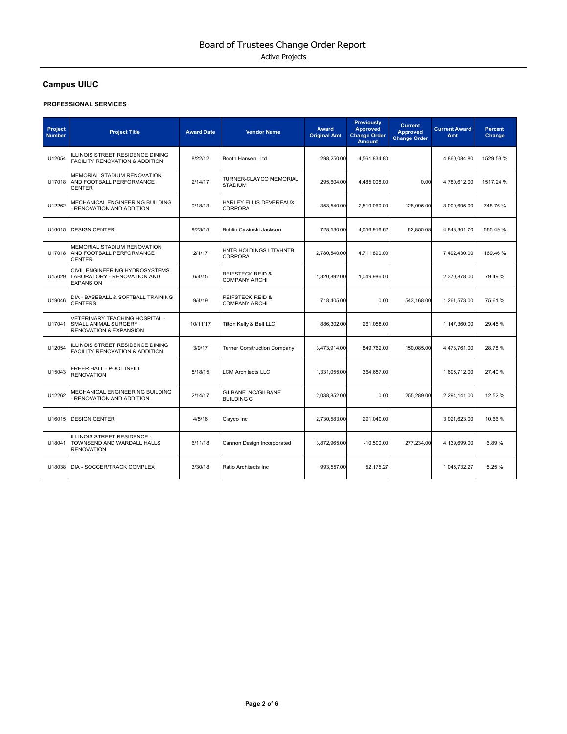# **Campus UIUC**

#### **PROFESSIONAL SERVICES**

| Project<br><b>Number</b> | <b>Project Title</b>                                                                        | <b>Award Date</b> | <b>Vendor Name</b>                                  | <b>Award</b><br><b>Original Amt</b> | <b>Previously</b><br>Approved<br><b>Change Order</b><br><b>Amount</b> | <b>Current</b><br><b>Approved</b><br><b>Change Order</b> | <b>Current Award</b><br>Amt | <b>Percent</b><br>Change |
|--------------------------|---------------------------------------------------------------------------------------------|-------------------|-----------------------------------------------------|-------------------------------------|-----------------------------------------------------------------------|----------------------------------------------------------|-----------------------------|--------------------------|
| U12054                   | ILLINOIS STREET RESIDENCE DINING<br><b>FACILITY RENOVATION &amp; ADDITION</b>               | 8/22/12           | Booth Hansen, Ltd.                                  | 298,250.00                          | 4,561,834.80                                                          |                                                          | 4,860,084.80                | 1529.53 %                |
| U17018                   | <b>MEMORIAL STADIUM RENOVATION</b><br>AND FOOTBALL PERFORMANCE<br><b>CENTER</b>             | 2/14/17           | TURNER-CLAYCO MEMORIAL<br><b>STADIUM</b>            | 295,604.00                          | 4,485,008.00                                                          | 0.00                                                     | 4,780,612.00                | 1517.24 %                |
| U12262                   | MECHANICAL ENGINEERING BUILDING<br>RENOVATION AND ADDITION                                  | 9/18/13           | HARLEY ELLIS DEVEREAUX<br><b>CORPORA</b>            | 353,540.00                          | 2,519,060.00                                                          | 128,095.00                                               | 3,000,695.00                | 748.76%                  |
| U16015                   | <b>DESIGN CENTER</b>                                                                        | 9/23/15           | Bohlin Cywinski Jackson                             | 728,530.00                          | 4,056,916.62                                                          | 62,855.08                                                | 4,848,301.70                | 565.49 %                 |
| U17018                   | MEMORIAL STADIUM RENOVATION<br>AND FOOTBALL PERFORMANCE<br><b>CENTER</b>                    | 2/1/17            | HNTB HOLDINGS LTD/HNTB<br><b>CORPORA</b>            | 2,780,540.00                        | 4,711,890.00                                                          |                                                          | 7,492,430.00                | 169.46%                  |
| U15029                   | CIVIL ENGINEERING HYDROSYSTEMS<br>LABORATORY - RENOVATION AND<br><b>EXPANSION</b>           | 6/4/15            | <b>REIFSTECK REID &amp;</b><br><b>COMPANY ARCHI</b> | 1,320,892.00                        | 1,049,986.00                                                          |                                                          | 2,370,878.00                | 79.49 %                  |
| U19046                   | DIA - BASEBALL & SOFTBALL TRAINING<br><b>CENTERS</b>                                        | 9/4/19            | <b>REIFSTECK REID &amp;</b><br><b>COMPANY ARCHI</b> | 718,405.00                          | 0.00                                                                  | 543,168.00                                               | 1,261,573.00                | 75.61%                   |
| U17041                   | VETERINARY TEACHING HOSPITAL -<br>SMALL ANIMAL SURGERY<br><b>RENOVATION &amp; EXPANSION</b> | 10/11/17          | Tilton Kelly & Bell LLC                             | 886,302.00                          | 261,058.00                                                            |                                                          | 1,147,360.00                | 29.45 %                  |
| U12054                   | ILLINOIS STREET RESIDENCE DINING<br><b>FACILITY RENOVATION &amp; ADDITION</b>               | 3/9/17            | <b>Turner Construction Company</b>                  | 3,473,914.00                        | 849,762.00                                                            | 150,085.00                                               | 4,473,761.00                | 28.78 %                  |
| U15043                   | FREER HALL - POOL INFILL<br><b>RENOVATION</b>                                               | 5/18/15           | <b>LCM Architects LLC</b>                           | 1,331,055.00                        | 364,657.00                                                            |                                                          | 1,695,712.00                | 27.40 %                  |
| U12262                   | MECHANICAL ENGINEERING BUILDING<br>RENOVATION AND ADDITION                                  | 2/14/17           | <b>GILBANE INC/GILBANE</b><br><b>BUILDING C</b>     | 2,038,852.00                        | 0.00                                                                  | 255,289.00                                               | 2,294,141.00                | 12.52 %                  |
| U16015                   | <b>DESIGN CENTER</b>                                                                        | 4/5/16            | Clayco Inc                                          | 2.730.583.00                        | 291.040.00                                                            |                                                          | 3,021,623.00                | 10.66 %                  |
| U18041                   | ILLINOIS STREET RESIDENCE -<br>TOWNSEND AND WARDALL HALLS<br><b>RENOVATION</b>              | 6/11/18           | Cannon Design Incorporated                          | 3,872,965.00                        | $-10,500.00$                                                          | 277,234.00                                               | 4,139,699.00                | 6.89%                    |
| U18038                   | DIA - SOCCER/TRACK COMPLEX                                                                  | 3/30/18           | Ratio Architects Inc                                | 993,557.00                          | 52,175.27                                                             |                                                          | 1,045,732.27                | 5.25%                    |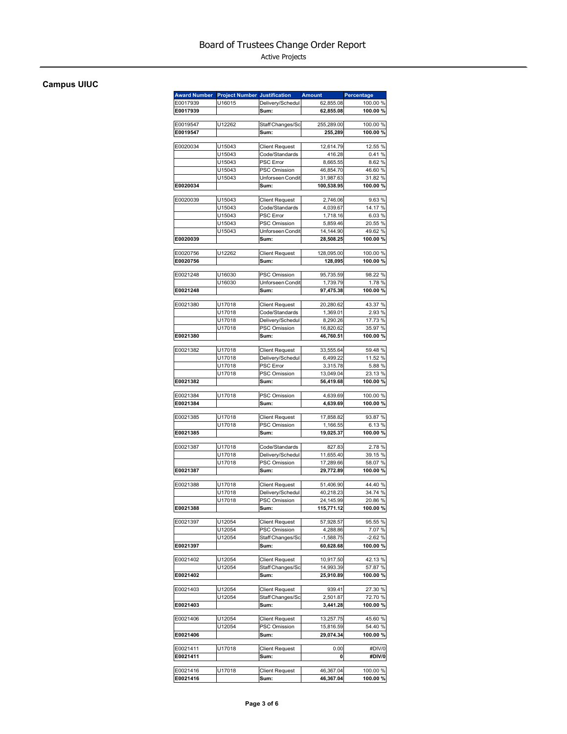Active Projects

## **Campus UIUC**

| <b>Award Number</b>  | <b>Project Number Justification</b> |                                         | <b>Amount</b>          | Percentage         |
|----------------------|-------------------------------------|-----------------------------------------|------------------------|--------------------|
| E0017939             | U16015                              | Delivery/Schedul                        | 62,855.08              | 100.00%            |
| E0017939             |                                     | Sum:                                    | 62,855.08              | 100.00%            |
| E0019547             | U12262                              | Staff Changes/Sc                        | 255,289.00             | 100.00 %           |
| E0019547             |                                     | Sum:                                    | 255,289                | 100.00%            |
|                      |                                     |                                         |                        |                    |
| E0020034             | U15043                              | <b>Client Request</b>                   | 12,614.79              | 12.55 %            |
|                      | U15043                              | Code/Standards                          | 416.28                 | 0.41%              |
|                      | U15043                              | <b>PSC Error</b>                        | 8,665.55               | 8.62%              |
|                      | U15043                              | PSC Omission                            | 46,854.70              | 46.60%             |
|                      | U15043                              | Unforseen Condit                        | 31,987.63              | 31.82 %            |
| E0020034             |                                     | Sum:                                    | 100,538.95             | 100.00%            |
| E0020039             | U15043                              | <b>Client Request</b>                   | 2.746.06               | 9.63%              |
|                      | U15043                              | Code/Standards                          | 4.039.67               | 14.17 %            |
|                      | U15043                              | <b>PSC Error</b>                        | 1,718.16               | 6.03%              |
|                      | U15043                              | PSC Omission                            | 5,859.46               | 20.55 %            |
|                      | U15043                              | Unforseen Condit                        | 14,144.90              | 49.62%             |
| E0020039             |                                     | Sum:                                    | 28,508.25              | 100.00%            |
| E0020756             | U12262                              | <b>Client Request</b>                   | 128,095.00             | 100.00 %           |
| E0020756             |                                     | Sum:                                    | 128,095                | 100.00%            |
|                      |                                     |                                         |                        |                    |
| E0021248             | U16030<br>U16030                    | <b>PSC Omission</b><br>Unforseen Condit | 95.735.59<br>1,739.79  | 98.22 %<br>1.78%   |
| E0021248             |                                     | Sum:                                    | 97,475.38              | 100.00%            |
|                      |                                     |                                         |                        |                    |
| E0021380             | U17018                              | <b>Client Request</b>                   | 20,280.62              | 43.37 %            |
|                      | U17018                              | Code/Standards                          | 1,369.01               | 2.93%              |
|                      | U17018                              | Delivery/Schedul                        | 8,290.26               | 17.73 %            |
|                      | U17018                              | PSC Omission                            | 16,820.62              | 35.97 %            |
| E0021380             |                                     | Sum:                                    | 46,760.51              | 100.00%            |
| E0021382             | U17018                              | <b>Client Request</b>                   | 33,555.64              | 59.48 %            |
|                      | U17018                              | Delivery/Schedul                        | 6,499.22               | 11.52 %            |
|                      | U17018                              | <b>PSC Error</b>                        | 3,315.78               | 5.88%              |
|                      | U17018                              | PSC Omission                            | 13,049.04              | 23.13 %            |
| E0021382             |                                     | Sum:                                    | 56,419.68              | 100.00%            |
|                      |                                     |                                         |                        |                    |
| E0021384             | U17018                              | <b>PSC Omission</b>                     | 4,639.69               | 100.00 %           |
| E0021384             |                                     | Sum:                                    | 4,639.69               | 100.00%            |
| E0021385             | U17018                              | <b>Client Request</b>                   | 17,858.82              | 93.87 %            |
|                      | U17018                              | PSC Omission                            | 1,166.55               | 6.13%              |
| E0021385             |                                     | Sum:                                    | 19,025.37              | 100.00%            |
|                      |                                     |                                         |                        |                    |
| E0021387             | U17018                              | Code/Standards                          | 827.83                 | 2.78%              |
|                      | U17018                              | Delivery/Schedul                        | 11,655.40              | 39.15 %            |
|                      | U17018                              | PSC Omission                            | 17,289.66              | 58.07 %            |
| E0021387             |                                     | Sum:                                    | 29,772.89              | 100.00%            |
| E0021388             | U17018                              | <b>Client Request</b>                   | 51,406.90              | 44.40 %            |
|                      | U17018                              | Delivery/Schedul                        | 40,218.23              | 34.74 %            |
|                      | U17018                              | <b>PSC Omission</b>                     | 24,145.99              | 20.86 %            |
| E0021388             |                                     | Sum:                                    | 115,771.12             | 100.00%            |
| E0021397             | U12054                              | <b>Client Request</b>                   | 57,928.57              | 95.55 %            |
|                      | U12054                              | PSC Omission                            | 4,288.86               | 7.07%              |
|                      | U12054                              | Staff Changes/Sc                        | $-1,588.75$            | $-2.62%$           |
| E0021397             |                                     | Sum:                                    | 60,628.68              | 100.00%            |
|                      |                                     |                                         |                        |                    |
| E0021402             | U12054                              | <b>Client Request</b>                   | 10,917.50              | 42.13%             |
| E0021402             | U12054                              | Staff Changes/Sc<br>Sum:                | 14,993.39<br>25,910.89 | 57.87 %<br>100.00% |
|                      |                                     |                                         |                        |                    |
| E0021403             | U12054                              | <b>Client Request</b>                   | 939.41                 | 27.30 %            |
|                      | U12054                              | Staff Changes/Sc                        | 2,501.87               | 72.70 %            |
| E0021403             |                                     | Sum:                                    | 3,441.28               | 100.00%            |
| E0021406             | U12054                              | <b>Client Request</b>                   | 13,257.75              | 45.60 %            |
|                      | U12054                              | PSC Omission                            | 15,816.59              | 54.40 %            |
| E0021406             |                                     | Sum:                                    | 29,074.34              | 100.00%            |
|                      |                                     |                                         |                        |                    |
| E0021411<br>E0021411 | U17018                              | <b>Client Request</b><br>Sum:           | 0.00<br>0              | #DIV/0<br>#DIV/0   |
|                      |                                     |                                         |                        |                    |
| E0021416             | U17018                              | <b>Client Request</b>                   | 46,367.04              | 100.00%            |
| E0021416             |                                     | Sum:                                    | 46,367.04              | 100.00%            |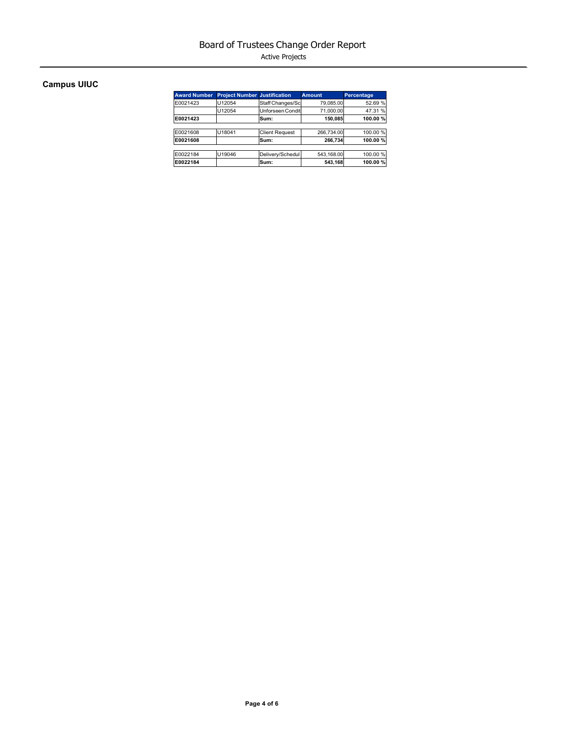Active Projects

## **Campus UIUC**

| <b>Award Number</b> | <b>Project Number Justification</b> |                       | <b>Amount</b> | Percentage |
|---------------------|-------------------------------------|-----------------------|---------------|------------|
| E0021423            | U12054                              | Staff Changes/Sc      | 79,085.00     | 52.69 %    |
|                     | U12054                              | Unforseen Condit      | 71.000.00     | 47.31 %    |
| E0021423            |                                     | Sum:                  | 150,085       | 100.00%    |
|                     |                                     |                       |               |            |
| E0021608            | U18041                              | <b>Client Request</b> | 266.734.00    | 100.00%    |
| E0021608            |                                     | Sum:                  | 266,734       | 100.00%    |
|                     |                                     |                       |               |            |
| E0022184            | U19046                              | Delivery/Schedul      | 543,168.00    | 100.00%    |
| E0022184            |                                     | Sum:                  | 543,168       | 100.00%    |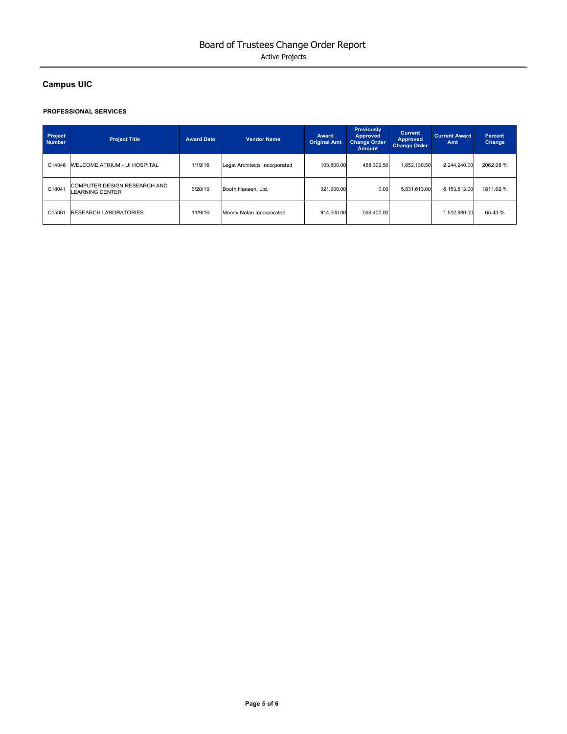## **Campus UIC**

#### **PROFESSIONAL SERVICES**

| Project<br><b>Number</b> | <b>Project Title</b>                                          | <b>Award Date</b> | <b>Vendor Name</b>            | Award<br><b>Original Amt</b> | <b>Previously</b><br><b>Approved</b><br><b>Change Order</b><br><b>Amount</b> | <b>Current</b><br><b>Approved</b><br><b>Change Order</b> | <b>Current Award</b><br>Amt | Percent<br>Change |
|--------------------------|---------------------------------------------------------------|-------------------|-------------------------------|------------------------------|------------------------------------------------------------------------------|----------------------------------------------------------|-----------------------------|-------------------|
| C14046                   | <b>WELCOME ATRIUM - UI HOSPITAL</b>                           | 1/19/16           | Legat Architects Incorporated | 103.800.00                   | 488.309.50                                                                   | 1.652.130.50                                             | 2.244.240.00                | 2062.08%          |
| C18041                   | <b>COMPUTER DESIGN RESEARCH AND</b><br><b>LEARNING CENTER</b> | 6/20/19           | Booth Hansen, Ltd.            | 321.900.00                   | 0.00                                                                         | 5.831.613.00                                             | 6.153.513.00                | 1811.62 %         |
| C15061                   | <b>RESEARCH LABORATORIES</b>                                  | 11/9/16           | Moody Nolan Incorporated      | 914.500.00                   | 598.400.00                                                                   |                                                          | 1.512.900.00                | 65.43 %           |